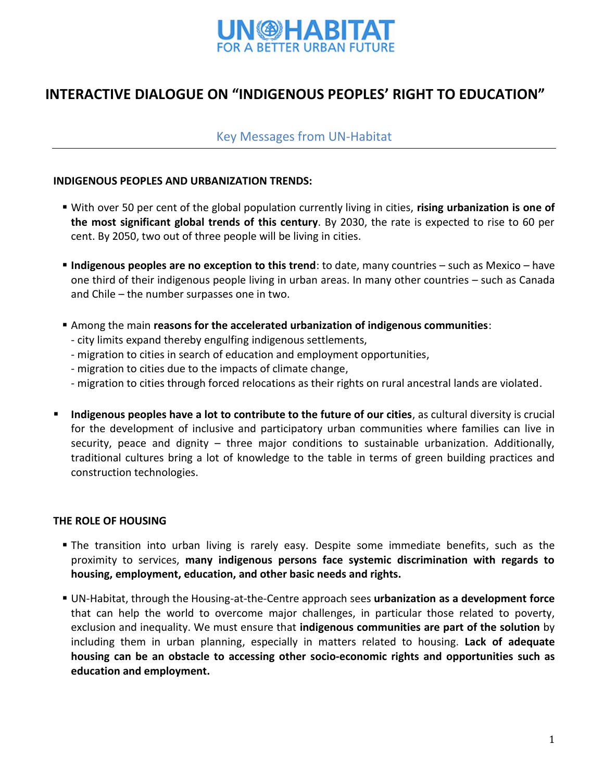

# **INTERACTIVE DIALOGUE ON "INDIGENOUS PEOPLES' RIGHT TO EDUCATION"**

# Key Messages from UN-Habitat

#### **INDIGENOUS PEOPLES AND URBANIZATION TRENDS:**

- With over 50 per cent of the global population currently living in cities, **rising urbanization is one of the most significant global trends of this century**. By 2030, the rate is expected to rise to 60 per cent. By 2050, two out of three people will be living in cities.
- **Indigenous peoples are no exception to this trend**: to date, many countries such as Mexico have one third of their indigenous people living in urban areas. In many other countries – such as Canada and Chile – the number surpasses one in two.
- Among the main **reasons for the accelerated urbanization of indigenous communities**:
	- city limits expand thereby engulfing indigenous settlements,
	- migration to cities in search of education and employment opportunities,
	- migration to cities due to the impacts of climate change,
	- migration to cities through forced relocations as their rights on rural ancestral lands are violated.
- **Indigenous peoples have a lot to contribute to the future of our cities**, as cultural diversity is crucial for the development of inclusive and participatory urban communities where families can live in security, peace and dignity – three major conditions to sustainable urbanization. Additionally, traditional cultures bring a lot of knowledge to the table in terms of green building practices and construction technologies.

## **THE ROLE OF HOUSING**

- The transition into urban living is rarely easy. Despite some immediate benefits, such as the proximity to services, **many indigenous persons face systemic discrimination with regards to housing, employment, education, and other basic needs and rights.**
- UN-Habitat, through the Housing-at-the-Centre approach sees **urbanization as a development force**  that can help the world to overcome major challenges, in particular those related to poverty, exclusion and inequality. We must ensure that **indigenous communities are part of the solution** by including them in urban planning, especially in matters related to housing. **Lack of adequate housing can be an obstacle to accessing other socio-economic rights and opportunities such as education and employment.**